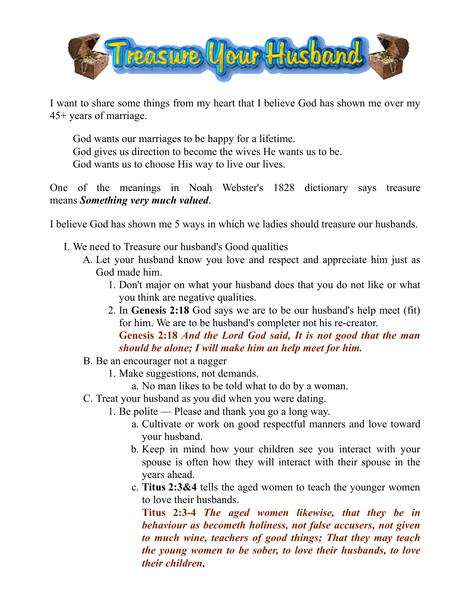

I want to share some things from my heart that I believe God has shown me over my 45+ years of marriage.

God wants our marriages to be happy for a lifetime. God gives us direction to become the wives He wants us to be. God wants us to choose His way to live our lives.

One of the meanings in Noah Webster's 1828 dictionary says treasure means *Something very much valued*.

I believe God has shown me 5 ways in which we ladies should treasure our husbands.

- I. We need to Treasure our husband's Good qualities
	- A. Let your husband know you love and respect and appreciate him just as God made him.
		- 1. Don't major on what your husband does that you do not like or what you think are negative qualities.
		- 2. In **Genesis 2:18** God says we are to be our husband's help meet (fit) for him. We are to be husband's completer not his re-creator.

## **Genesis 2:18** *And the Lord God said, It is not good that the man should be alone; I will make him an help meet for him.*

- B. Be an encourager not a nagger
	- 1. Make suggestions, not demands.
		- a. No man likes to be told what to do by a woman.
- C. Treat your husband as you did when you were dating.
	- 1. Be polite Please and thank you go a long way.
		- a. Cultivate or work on good respectful manners and love toward your husband.
		- b. Keep in mind how your children see you interact with your spouse is often how they will interact with their spouse in the years ahead.
		- c. **Titus 2:3&4** tells the aged women to teach the younger women to love their husbands.

**Titus 2:3-4** *The aged women likewise, that they be in behaviour as becometh holiness, not false accusers, not given to much wine, teachers of good things; That they may teach the young women to be sober, to love their husbands, to love their children,*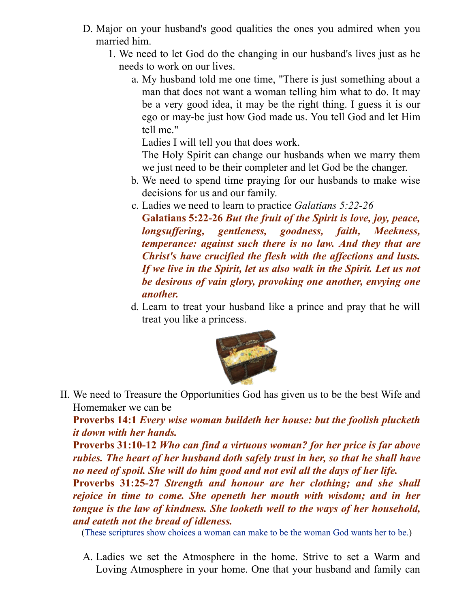- D. Major on your husband's good qualities the ones you admired when you married him.
	- 1. We need to let God do the changing in our husband's lives just as he needs to work on our lives.
		- a. My husband told me one time, "There is just something about a man that does not want a woman telling him what to do. It may be a very good idea, it may be the right thing. I guess it is our ego or may-be just how God made us. You tell God and let Him tell me."

Ladies I will tell you that does work.

The Holy Spirit can change our husbands when we marry them we just need to be their completer and let God be the changer.

- b. We need to spend time praying for our husbands to make wise decisions for us and our family.
- c. Ladies we need to learn to practice *Galatians 5:22-26*

**Galatians 5:22-26** *But the fruit of the Spirit is love, joy, peace, longsuf ering, gentleness, goodness, faith, Meekness, temperance: against such there is no law. And they that are Christ's have crucified the flesh with the af ections and lusts. If we live in the Spirit, let us also walk in the Spirit. Let us not be desirous of vain glory, provoking one another, envying one another.*

d. Learn to treat your husband like a prince and pray that he will treat you like a princess.



II. We need to Treasure the Opportunities God has given us to be the best Wife and Homemaker we can be

**Proverbs 14:1** *Every wise woman buildeth her house: but the foolish plucketh it down with her hands.*

**Proverbs 31:10-12** *Who can find a virtuous woman? for her price is far above rubies. The heart of her husband doth safely trust in her, so that he shall have no need of spoil. She will do him good and not evil all the days of her life.*

**Proverbs 31:25-27** *Strength and honour are her clothing; and she shall rejoice in time to come. She openeth her mouth with wisdom; and in her tongue is the law of kindness. She looketh well to the ways of her household, and eateth not the bread of idleness.*

(These scriptures show choices a woman can make to be the woman God wants her to be.)

A. Ladies we set the Atmosphere in the home. Strive to set a Warm and Loving Atmosphere in your home. One that your husband and family can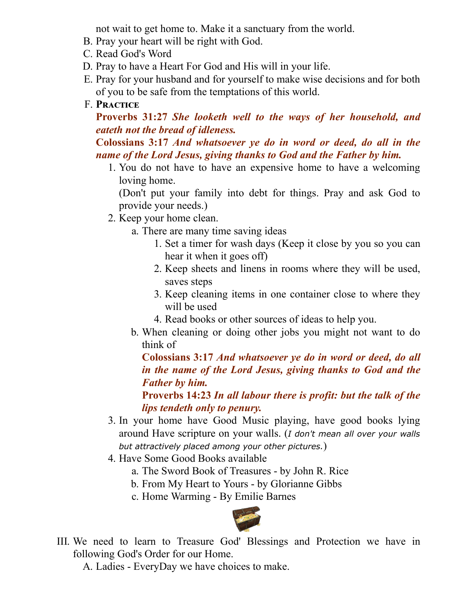not wait to get home to. Make it a sanctuary from the world.

- B. Pray your heart will be right with God.
- C. Read God's Word
- D. Pray to have a Heart For God and His will in your life.
- E. Pray for your husband and for yourself to make wise decisions and for both of you to be safe from the temptations of this world.
- F. **P**

**Proverbs 31:27** *She looketh well to the ways of her household, and eateth not the bread of idleness.*

**Colossians 3:17** *And whatsoever ye do in word or deed, do all in the name of the Lord Jesus, giving thanks to God and the Father by him.*

1. You do not have to have an expensive home to have a welcoming loving home.

(Don't put your family into debt for things. Pray and ask God to provide your needs.)

- 2. Keep your home clean.
	- a. There are many time saving ideas
		- 1. Set a timer for wash days (Keep it close by you so you can hear it when it goes off)
		- 2. Keep sheets and linens in rooms where they will be used, saves steps
		- 3. Keep cleaning items in one container close to where they will be used
		- 4. Read books or other sources of ideas to help you.
	- b. When cleaning or doing other jobs you might not want to do think of

**Colossians 3:17** *And whatsoever ye do in word or deed, do all in the name of the Lord Jesus, giving thanks to God and the Father by him.*

**Proverbs 14:23** *In all labour there is profit: but the talk of the lips tendeth only to penury.*

- 3. In your home have Good Music playing, have good books lying around Have scripture on your walls. (*I don't mean all over your walls but attractively placed among your other pictures.*)
- 4. Have Some Good Books available
	- a. The Sword Book of Treasures by John R. Rice
	- b. From My Heart to Yours by Glorianne Gibbs
	- c. Home Warming By Emilie Barnes



III. We need to learn to Treasure God' Blessings and Protection we have in following God's Order for our Home.

A. Ladies - EveryDay we have choices to make.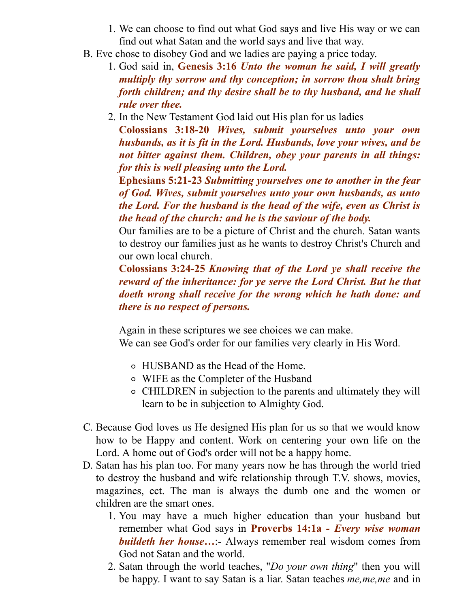- 1. We can choose to find out what God says and live His way or we can find out what Satan and the world says and live that way.
- B. Eve chose to disobey God and we ladies are paying a price today.
	- 1. God said in, **Genesis 3:16** *Unto the woman he said, I will greatly multiply thy sorrow and thy conception; in sorrow thou shalt bring forth children; and thy desire shall be to thy husband, and he shall rule over thee.*
	- 2. In the New Testament God laid out His plan for us ladies

**Colossians 3:18-20** *Wives, submit yourselves unto your own husbands, as it is fit in the Lord. Husbands, love your wives, and be not bitter against them. Children, obey your parents in all things: for this is well pleasing unto the Lord.*

**Ephesians 5:21-23** *Submitting yourselves one to another in the fear of God. Wives, submit yourselves unto your own husbands, as unto the Lord. For the husband is the head of the wife, even as Christ is the head of the church: and he is the saviour of the body.*

Our families are to be a picture of Christ and the church. Satan wants to destroy our families just as he wants to destroy Christ's Church and our own local church.

**Colossians 3:24-25** *Knowing that of the Lord ye shall receive the reward of the inheritance: for ye serve the Lord Christ. But he that doeth wrong shall receive for the wrong which he hath done: and there is no respect of persons.*

Again in these scriptures we see choices we can make. We can see God's order for our families very clearly in His Word.

- HUSBAND as the Head of the Home.
- WIFE as the Completer of the Husband
- CHILDREN in subjection to the parents and ultimately they will learn to be in subjection to Almighty God.
- C. Because God loves us He designed His plan for us so that we would know how to be Happy and content. Work on centering your own life on the Lord. A home out of God's order will not be a happy home.
- D. Satan has his plan too. For many years now he has through the world tried to destroy the husband and wife relationship through T.V. shows, movies, magazines, ect. The man is always the dumb one and the women or children are the smart ones.
	- 1. You may have a much higher education than your husband but remember what God says in **Proverbs 14:1a** *- Every wise woman buildeth her house…*:- Always remember real wisdom comes from God not Satan and the world.
	- 2. Satan through the world teaches, "*Do your own thing*" then you will be happy. I want to say Satan is a liar. Satan teaches *me,me,me* and in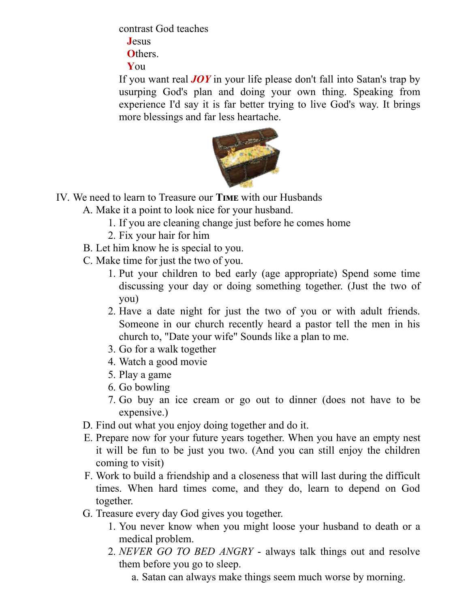contrast God teaches

**J**esus

**O**thers.

**Y**ou

If you want real *JOY* in your life please don't fall into Satan's trap by usurping God's plan and doing your own thing. Speaking from experience I'd say it is far better trying to live God's way. It brings more blessings and far less heartache.



- IV. We need to learn to Treasure our **TIME** with our Husbands
	- A. Make it a point to look nice for your husband.
		- 1. If you are cleaning change just before he comes home
		- 2. Fix your hair for him
	- B. Let him know he is special to you.
	- C. Make time for just the two of you.
		- 1. Put your children to bed early (age appropriate) Spend some time discussing your day or doing something together. (Just the two of you)
		- 2. Have a date night for just the two of you or with adult friends. Someone in our church recently heard a pastor tell the men in his church to, "Date your wife" Sounds like a plan to me.
		- 3. Go for a walk together
		- 4. Watch a good movie
		- 5. Play a game
		- 6. Go bowling
		- 7. Go buy an ice cream or go out to dinner (does not have to be expensive.)
	- D. Find out what you enjoy doing together and do it.
	- E. Prepare now for your future years together. When you have an empty nest it will be fun to be just you two. (And you can still enjoy the children coming to visit)
	- F. Work to build a friendship and a closeness that will last during the difficult times. When hard times come, and they do, learn to depend on God together.
	- G. Treasure every day God gives you together.
		- 1. You never know when you might loose your husband to death or a medical problem.
		- 2. *NEVER GO TO BED ANGRY* always talk things out and resolve them before you go to sleep.
			- a. Satan can always make things seem much worse by morning.